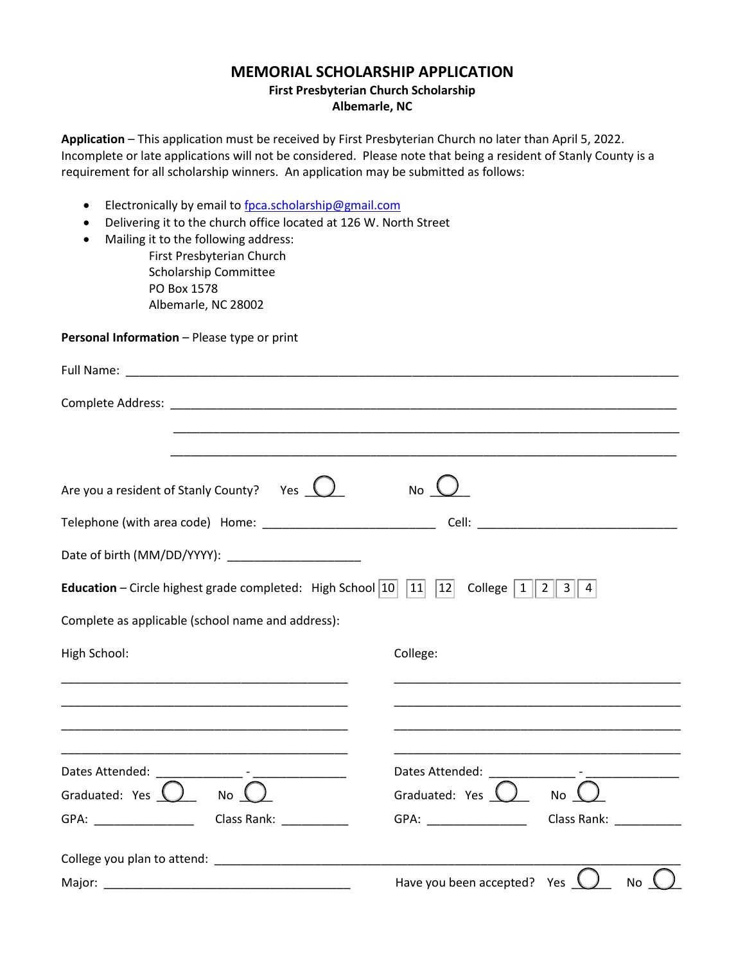## **MEMORIAL SCHOLARSHIP APPLICATION**

## **First Presbyterian Church Scholarship Albemarle, NC**

**Application** – This application must be received by First Presbyterian Church no later than April 5, 2022. Incomplete or late applications will not be considered. Please note that being a resident of Stanly County is a requirement for all scholarship winners. An application may be submitted as follows:

- Electronically by email to [fpca.scholarship@gmail.com](mailto:fpca.scholarship@gmail.com)
- Delivering it to the church office located at 126 W. North Street
- Mailing it to the following address:

First Presbyterian Church Scholarship Committee PO Box 1578 Albemarle, NC 28002

## **Personal Information** – Please type or print

| Are you a resident of Stanly County? Yes $\bigcup$                                                                                   | <b>No</b>                                          |
|--------------------------------------------------------------------------------------------------------------------------------------|----------------------------------------------------|
|                                                                                                                                      |                                                    |
| Date of birth (MM/DD/YYYY): _____________________                                                                                    |                                                    |
| <b>Education</b> – Circle highest grade completed: High School $ 10 $ $ 11 $ $ 12 $ College $ 1  2  3  4$                            |                                                    |
| Complete as applicable (school name and address):                                                                                    |                                                    |
| High School:<br><u> 1989 - Johann John Stone, markin amerikan basal dan berkembang dan berkembang dan basal dari berkembang dan </u> | College:                                           |
|                                                                                                                                      |                                                    |
|                                                                                                                                      |                                                    |
|                                                                                                                                      |                                                    |
| Graduated: Yes $\bigcup$ No $\bigcup$                                                                                                | Graduated: Yes $\bigcup$<br>No L                   |
| GPA: ___________________________________Class Rank: ____________________________                                                     |                                                    |
|                                                                                                                                      |                                                    |
|                                                                                                                                      | Have you been accepted? Yes $\bigcup$<br><b>No</b> |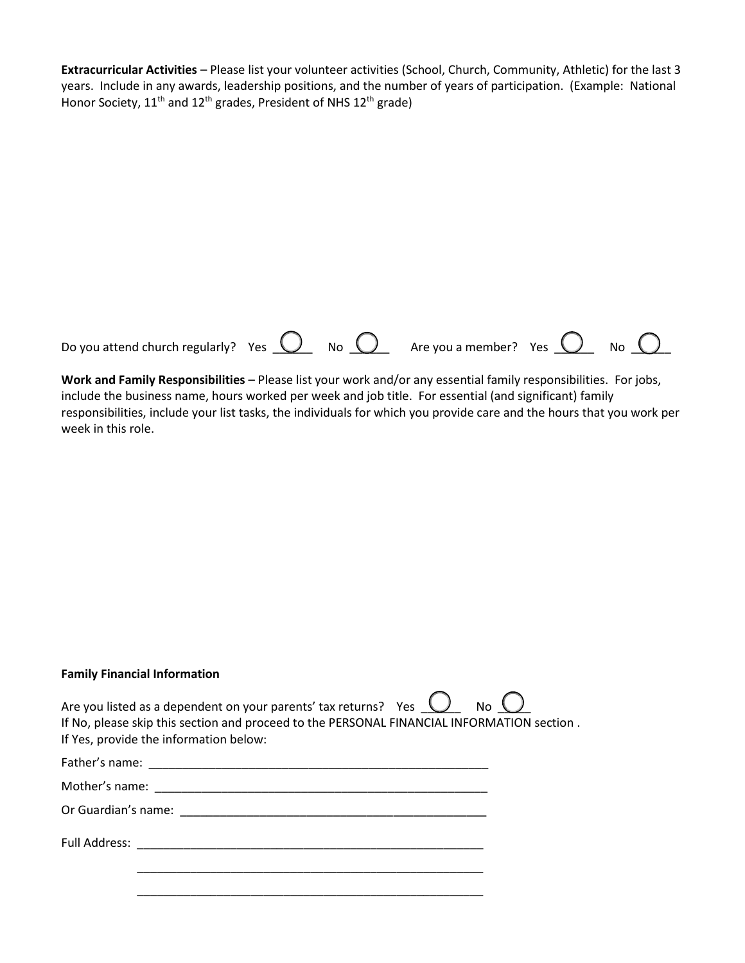**Extracurricular Activities** – Please list your volunteer activities (School, Church, Community, Athletic) for the last 3 years. Include in any awards, leadership positions, and the number of years of participation. (Example: National Honor Society,  $11^{\text{th}}$  and  $12^{\text{th}}$  grades, President of NHS  $12^{\text{th}}$  grade)

| Do you attend church regularly? Yes $\overline{\mathbb{O}}$ No $\overline{\mathbb{O}}$ Are you a member? Yes $\overline{\mathbb{O}}$ No $\overline{\mathbb{O}}$ |  |  |  |
|-----------------------------------------------------------------------------------------------------------------------------------------------------------------|--|--|--|
|                                                                                                                                                                 |  |  |  |

**Work and Family Responsibilities** – Please list your work and/or any essential family responsibilities. For jobs, include the business name, hours worked per week and job title. For essential (and significant) family responsibilities, include your list tasks, the individuals for which you provide care and the hours that you work per week in this role.

## **Family Financial Information**

| Are you listed as a dependent on your parents' tax returns? Yes $\bigcirc$ No $\bigcirc$   |  |  |  |
|--------------------------------------------------------------------------------------------|--|--|--|
| If No, please skip this section and proceed to the PERSONAL FINANCIAL INFORMATION section. |  |  |  |
| If Yes, provide the information below:                                                     |  |  |  |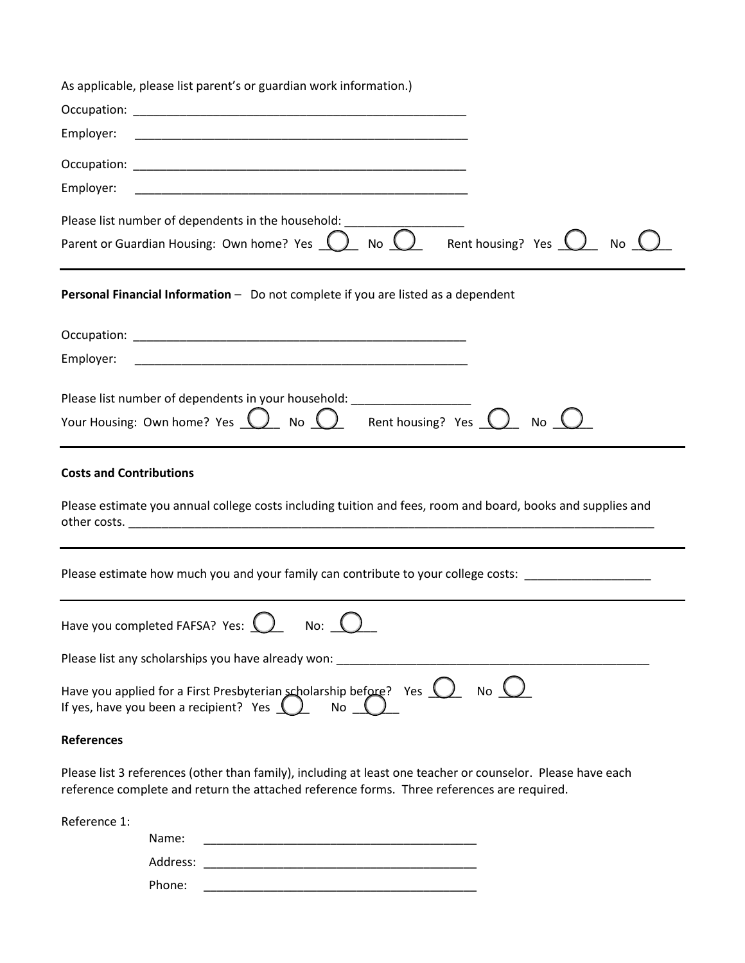|                   | As applicable, please list parent's or guardian work information.)                                                                                                                                        |
|-------------------|-----------------------------------------------------------------------------------------------------------------------------------------------------------------------------------------------------------|
|                   |                                                                                                                                                                                                           |
| Employer:         |                                                                                                                                                                                                           |
|                   |                                                                                                                                                                                                           |
| Employer:         |                                                                                                                                                                                                           |
|                   | Please list number of dependents in the household: ___                                                                                                                                                    |
|                   | Parent or Guardian Housing: Own home? Yes $\bigcirc$ No $\bigcirc$ Rent housing? Yes $\bigcirc$<br><b>No</b>                                                                                              |
|                   | Personal Financial Information - Do not complete if you are listed as a dependent                                                                                                                         |
|                   |                                                                                                                                                                                                           |
| Employer:         |                                                                                                                                                                                                           |
|                   |                                                                                                                                                                                                           |
|                   | Please list number of dependents in your household: ____________________<br>Your Housing: Own home? Yes $\bigcirc$ No $\bigcirc$ Rent housing? Yes $\bigcirc$<br>No (                                     |
|                   |                                                                                                                                                                                                           |
|                   | Please estimate how much you and your family can contribute to your college costs: ________________                                                                                                       |
|                   | Have you completed FAFSA? Yes: U<br>No: $\bigcup$                                                                                                                                                         |
|                   | Please list any scholarships you have already won:                                                                                                                                                        |
|                   | Have you applied for a First Presbyterian scholarship before? Yes $\bigcup$ No $\bigcup$<br>If yes, have you been a recipient? Yes $( )$ No $( )$                                                         |
| <b>References</b> |                                                                                                                                                                                                           |
|                   | Please list 3 references (other than family), including at least one teacher or counselor. Please have each<br>reference complete and return the attached reference forms. Three references are required. |
| Reference 1:      |                                                                                                                                                                                                           |
|                   | Name:                                                                                                                                                                                                     |
|                   |                                                                                                                                                                                                           |
|                   |                                                                                                                                                                                                           |